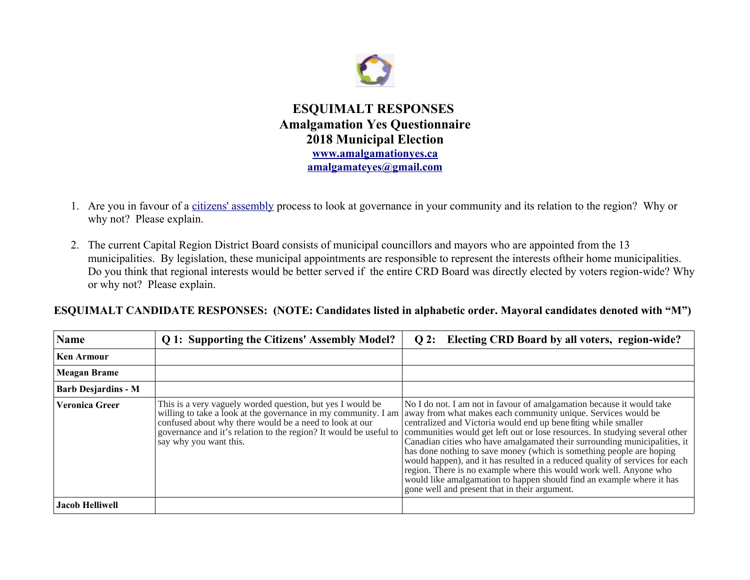

**ESQUIMALT RESPONSES Amalgamation Yes Questionnaire 2018 Municipal Election [www.amalgamationyes.ca](http://www.amalgamationyes.ca/) [amalgamateyes@gmail.com](mailto:amalgamateyes@gmail.com)**

- 1. Are you in favour of a [citizens' assembly](https://en.wikipedia.org/wiki/Citizens) process to look at governance in your community and its relation to the region? Why or why not? Please explain.
- 2. The current Capital Region District Board consists of municipal councillors and mayors who are appointed from the 13 municipalities. By legislation, these municipal appointments are responsible to represent the interests oftheir home municipalities. Do you think that regional interests would be better served if the entire CRD Board was directly elected by voters region-wide? Why or why not? Please explain.

**ESQUIMALT CANDIDATE RESPONSES: (NOTE: Candidates listed in alphabetic order. Mayoral candidates denoted with "M")**

| <b>Name</b>                | Q 1: Supporting the Citizens' Assembly Model?                                                                                                                                                                                                                                          | Q 2: Electing CRD Board by all voters, region-wide?                                                                                                                                                                                                                                                                                                                                                                                                                                                                                                                                                                                                                                                                          |
|----------------------------|----------------------------------------------------------------------------------------------------------------------------------------------------------------------------------------------------------------------------------------------------------------------------------------|------------------------------------------------------------------------------------------------------------------------------------------------------------------------------------------------------------------------------------------------------------------------------------------------------------------------------------------------------------------------------------------------------------------------------------------------------------------------------------------------------------------------------------------------------------------------------------------------------------------------------------------------------------------------------------------------------------------------------|
| <b>Ken Armour</b>          |                                                                                                                                                                                                                                                                                        |                                                                                                                                                                                                                                                                                                                                                                                                                                                                                                                                                                                                                                                                                                                              |
| <b>Meagan Brame</b>        |                                                                                                                                                                                                                                                                                        |                                                                                                                                                                                                                                                                                                                                                                                                                                                                                                                                                                                                                                                                                                                              |
| <b>Barb Desjardins - M</b> |                                                                                                                                                                                                                                                                                        |                                                                                                                                                                                                                                                                                                                                                                                                                                                                                                                                                                                                                                                                                                                              |
| <b>Veronica Greer</b>      | This is a very vaguely worded question, but yes I would be<br>willing to take a look at the governance in my community. I am<br>confused about why there would be a need to look at our<br>governance and it's relation to the region? It would be useful to<br>say why you want this. | No I do not. I am not in favour of amalgamation because it would take<br>away from what makes each community unique. Services would be<br>centralized and Victoria would end up benefiting while smaller<br>communities would get left out or lose resources. In studying several other<br>Canadian cities who have amalgamated their surrounding municipalities, it<br>has done nothing to save money (which is something people are hoping<br>would happen), and it has resulted in a reduced quality of services for each<br>region. There is no example where this would work well. Anyone who<br>would like amalgamation to happen should find an example where it has<br>gone well and present that in their argument. |
| <b>Jacob Helliwell</b>     |                                                                                                                                                                                                                                                                                        |                                                                                                                                                                                                                                                                                                                                                                                                                                                                                                                                                                                                                                                                                                                              |